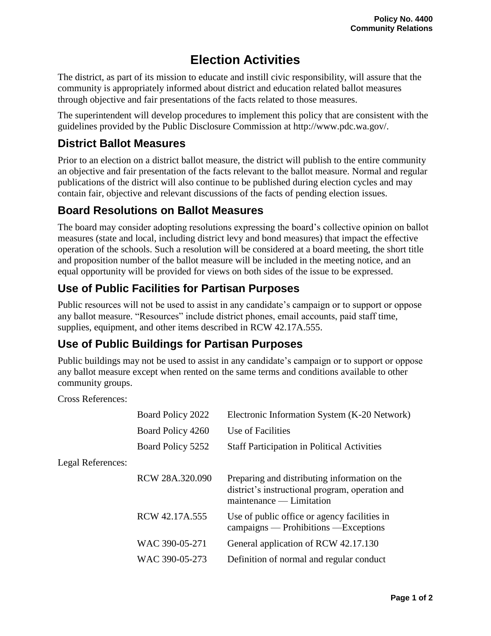# **Election Activities**

The district, as part of its mission to educate and instill civic responsibility, will assure that the community is appropriately informed about district and education related ballot measures through objective and fair presentations of the facts related to those measures.

The superintendent will develop procedures to implement this policy that are consistent with the guidelines provided by the Public Disclosure Commission at http://www.pdc.wa.gov/.

### **District Ballot Measures**

Prior to an election on a district ballot measure, the district will publish to the entire community an objective and fair presentation of the facts relevant to the ballot measure. Normal and regular publications of the district will also continue to be published during election cycles and may contain fair, objective and relevant discussions of the facts of pending election issues.

#### **Board Resolutions on Ballot Measures**

The board may consider adopting resolutions expressing the board's collective opinion on ballot measures (state and local, including district levy and bond measures) that impact the effective operation of the schools. Such a resolution will be considered at a board meeting, the short title and proposition number of the ballot measure will be included in the meeting notice, and an equal opportunity will be provided for views on both sides of the issue to be expressed.

# **Use of Public Facilities for Partisan Purposes**

Public resources will not be used to assist in any candidate's campaign or to support or oppose any ballot measure. "Resources" include district phones, email accounts, paid staff time, supplies, equipment, and other items described in RCW 42.17A.555.

## **Use of Public Buildings for Partisan Purposes**

Public buildings may not be used to assist in any candidate's campaign or to support or oppose any ballot measure except when rented on the same terms and conditions available to other community groups.

Cross References:

|                          | Board Policy 2022 | Electronic Information System (K-20 Network)                                                                                    |
|--------------------------|-------------------|---------------------------------------------------------------------------------------------------------------------------------|
|                          | Board Policy 4260 | Use of Facilities                                                                                                               |
|                          | Board Policy 5252 | <b>Staff Participation in Political Activities</b>                                                                              |
| <b>Legal References:</b> |                   |                                                                                                                                 |
|                          | RCW 28A.320.090   | Preparing and distributing information on the<br>district's instructional program, operation and<br>$m$ aintenance — Limitation |
|                          | RCW 42.17A.555    | Use of public office or agency facilities in<br>campaigns — Prohibitions — Exceptions                                           |
|                          | WAC 390-05-271    | General application of RCW 42.17.130                                                                                            |
|                          | WAC 390-05-273    | Definition of normal and regular conduct                                                                                        |
|                          |                   |                                                                                                                                 |